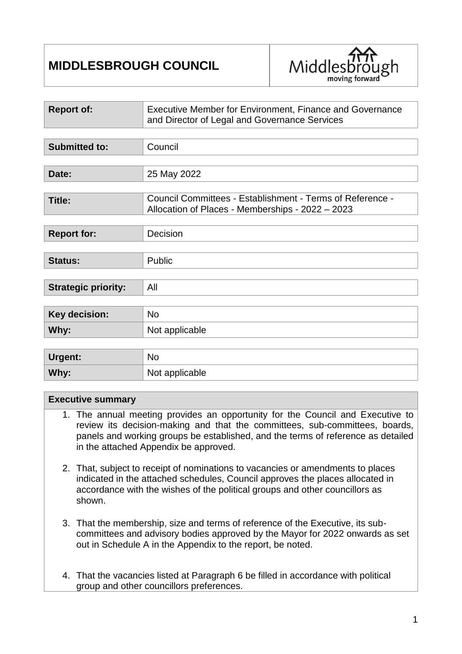# **MIDDLESBROUGH COUNCIL**



| <b>Report of:</b>          | Executive Member for Environment, Finance and Governance<br>and Director of Legal and Governance Services     |  |
|----------------------------|---------------------------------------------------------------------------------------------------------------|--|
|                            |                                                                                                               |  |
| <b>Submitted to:</b>       | Council                                                                                                       |  |
|                            |                                                                                                               |  |
| Date:                      | 25 May 2022                                                                                                   |  |
|                            |                                                                                                               |  |
| <b>Title:</b>              | Council Committees - Establishment - Terms of Reference -<br>Allocation of Places - Memberships - 2022 - 2023 |  |
|                            |                                                                                                               |  |
| <b>Report for:</b>         | Decision                                                                                                      |  |
|                            |                                                                                                               |  |
| <b>Status:</b>             | Public                                                                                                        |  |
|                            |                                                                                                               |  |
| <b>Strategic priority:</b> | All                                                                                                           |  |
|                            |                                                                                                               |  |
| <b>Key decision:</b>       | <b>No</b>                                                                                                     |  |
| Why:                       | Not applicable                                                                                                |  |
|                            |                                                                                                               |  |
| Urgent:                    | <b>No</b>                                                                                                     |  |
| Why:                       | Not applicable                                                                                                |  |

#### **Executive summary**

- 1. The annual meeting provides an opportunity for the Council and Executive to review its decision-making and that the committees, sub-committees, boards, panels and working groups be established, and the terms of reference as detailed in the attached Appendix be approved.
- 2. That, subject to receipt of nominations to vacancies or amendments to places indicated in the attached schedules, Council approves the places allocated in accordance with the wishes of the political groups and other councillors as shown.
- 3. That the membership, size and terms of reference of the Executive, its subcommittees and advisory bodies approved by the Mayor for 2022 onwards as set out in Schedule A in the Appendix to the report, be noted.
- 4. That the vacancies listed at Paragraph 6 be filled in accordance with political group and other councillors preferences.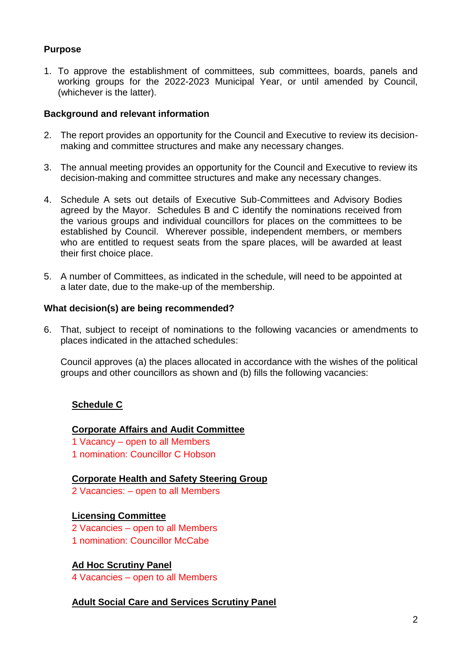# **Purpose**

1. To approve the establishment of committees, sub committees, boards, panels and working groups for the 2022-2023 Municipal Year, or until amended by Council, (whichever is the latter).

### **Background and relevant information**

- 2. The report provides an opportunity for the Council and Executive to review its decisionmaking and committee structures and make any necessary changes.
- 3. The annual meeting provides an opportunity for the Council and Executive to review its decision-making and committee structures and make any necessary changes.
- 4. Schedule A sets out details of Executive Sub-Committees and Advisory Bodies agreed by the Mayor. Schedules B and C identify the nominations received from the various groups and individual councillors for places on the committees to be established by Council. Wherever possible, independent members, or members who are entitled to request seats from the spare places, will be awarded at least their first choice place.
- 5. A number of Committees, as indicated in the schedule, will need to be appointed at a later date, due to the make-up of the membership.

#### **What decision(s) are being recommended?**

6. That, subject to receipt of nominations to the following vacancies or amendments to places indicated in the attached schedules:

Council approves (a) the places allocated in accordance with the wishes of the political groups and other councillors as shown and (b) fills the following vacancies:

# **Schedule C**

#### **Corporate Affairs and Audit Committee**

- 1 Vacancy open to all Members
- 1 nomination: Councillor C Hobson

#### **Corporate Health and Safety Steering Group**

2 Vacancies: – open to all Members

#### **Licensing Committee**

- 2 Vacancies open to all Members
- 1 nomination: Councillor McCabe

# **Ad Hoc Scrutiny Panel**

4 Vacancies – open to all Members

# **Adult Social Care and Services Scrutiny Panel**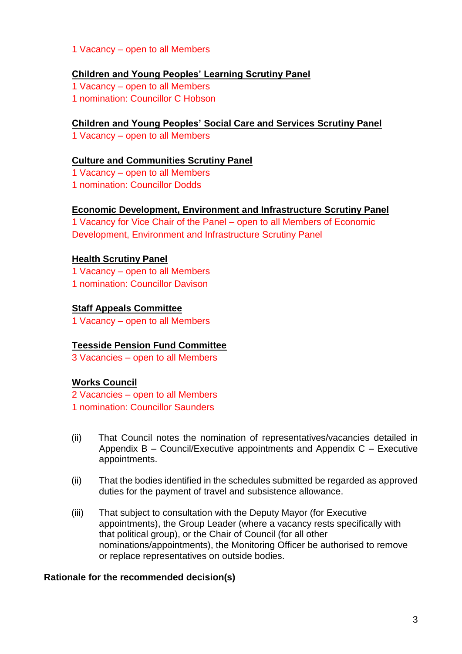1 Vacancy – open to all Members

### **Children and Young Peoples' Learning Scrutiny Panel**

1 Vacancy – open to all Members

1 nomination: Councillor C Hobson

# **Children and Young Peoples' Social Care and Services Scrutiny Panel**

1 Vacancy – open to all Members

#### **Culture and Communities Scrutiny Panel**

1 Vacancy – open to all Members 1 nomination: Councillor Dodds

### **Economic Development, Environment and Infrastructure Scrutiny Panel**

1 Vacancy for Vice Chair of the Panel – open to all Members of Economic Development, Environment and Infrastructure Scrutiny Panel

### **Health Scrutiny Panel**

1 Vacancy – open to all Members

1 nomination: Councillor Davison

### **Staff Appeals Committee**

1 Vacancy – open to all Members

# **Teesside Pension Fund Committee**

3 Vacancies – open to all Members

# **Works Council**

2 Vacancies – open to all Members

1 nomination: Councillor Saunders

- (ii) That Council notes the nomination of representatives/vacancies detailed in Appendix B – Council/Executive appointments and Appendix C – Executive appointments.
- (ii) That the bodies identified in the schedules submitted be regarded as approved duties for the payment of travel and subsistence allowance.
- (iii) That subject to consultation with the Deputy Mayor (for Executive appointments), the Group Leader (where a vacancy rests specifically with that political group), or the Chair of Council (for all other nominations/appointments), the Monitoring Officer be authorised to remove or replace representatives on outside bodies.

#### **Rationale for the recommended decision(s)**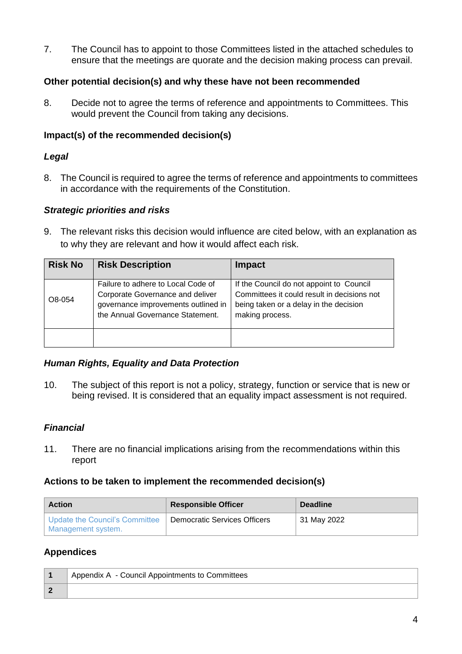7. The Council has to appoint to those Committees listed in the attached schedules to ensure that the meetings are quorate and the decision making process can prevail.

# **Other potential decision(s) and why these have not been recommended**

8. Decide not to agree the terms of reference and appointments to Committees. This would prevent the Council from taking any decisions.

# **Impact(s) of the recommended decision(s)**

# *Legal*

8. The Council is required to agree the terms of reference and appointments to committees in accordance with the requirements of the Constitution.

# *Strategic priorities and risks*

9. The relevant risks this decision would influence are cited below, with an explanation as to why they are relevant and how it would affect each risk.

| <b>Risk No</b> | <b>Risk Description</b>                                                                                                                           | <b>Impact</b>                                                                                                                                        |
|----------------|---------------------------------------------------------------------------------------------------------------------------------------------------|------------------------------------------------------------------------------------------------------------------------------------------------------|
| O8-054         | Failure to adhere to Local Code of<br>Corporate Governance and deliver<br>governance improvements outlined in<br>the Annual Governance Statement. | If the Council do not appoint to Council<br>Committees it could result in decisions not<br>being taken or a delay in the decision<br>making process. |
|                |                                                                                                                                                   |                                                                                                                                                      |

# *Human Rights, Equality and Data Protection*

10. The subject of this report is not a policy, strategy, function or service that is new or being revised. It is considered that an equality impact assessment is not required.

# *Financial*

11. There are no financial implications arising from the recommendations within this report

# **Actions to be taken to implement the recommended decision(s)**

| <b>Action</b>                                        | <b>Responsible Officer</b>          | <b>Deadline</b> |
|------------------------------------------------------|-------------------------------------|-----------------|
| Update the Council's Committee<br>Management system. | <b>Democratic Services Officers</b> | 31 May 2022     |

# **Appendices**

| Appendix A - Council Appointments to Committees |  |
|-------------------------------------------------|--|
|                                                 |  |